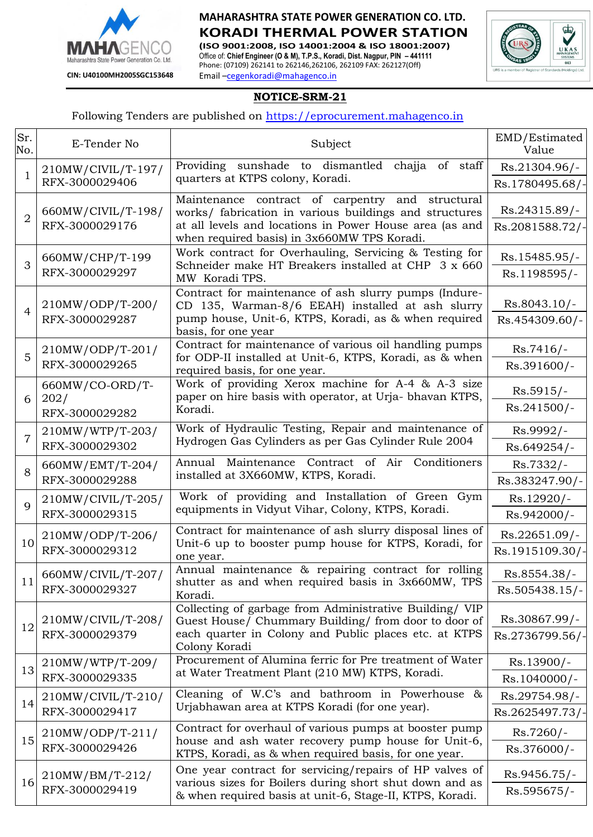

## **MAHARASHTRA STATE POWER GENERATION CO. LTD. KORADI THERMAL POWER STATION**

**(ISO 9001:2008, ISO 14001:2004 & ISO 18001:2007)** Office of: **Chief Engineer (O & M), T.P.S., Koradi, Dist. Nagpur, PIN – 441111** Phone: (07109) 262141 to 262146,262106, 262109 FAX: 262127(Off) Email –cegenkoradi@mahagenco.in



### **NOTICE-SRM-21**

#### Following Tenders are published on [https://eprocurement.mahagenco.in](https://eprocurement.mahagenco.in/)

| Sr.<br>No.     | E-Tender No                                                                                                                                                  | Subject                                                                                                                                                                                   | EMD/Estimated<br>Value           |
|----------------|--------------------------------------------------------------------------------------------------------------------------------------------------------------|-------------------------------------------------------------------------------------------------------------------------------------------------------------------------------------------|----------------------------------|
| 1              | 210MW/CIVIL/T-197/<br>RFX-3000029406                                                                                                                         | Providing sunshade to dismantled chajja of staff                                                                                                                                          | Rs.21304.96/-                    |
|                |                                                                                                                                                              | quarters at KTPS colony, Koradi.                                                                                                                                                          | Rs.1780495.68/-                  |
| $\overline{2}$ | 660MW/CIVIL/T-198/<br>RFX-3000029176                                                                                                                         | Maintenance contract of carpentry and structural<br>works/ fabrication in various buildings and structures<br>at all levels and locations in Power House area (as and                     | Rs.24315.89/-<br>Rs.2081588.72/- |
|                |                                                                                                                                                              | when required basis) in 3x660MW TPS Koradi.                                                                                                                                               |                                  |
| 3              | 660MW/CHP/T-199<br>RFX-3000029297                                                                                                                            | Work contract for Overhauling, Servicing & Testing for<br>Schneider make HT Breakers installed at CHP 3 x 660                                                                             | Rs.15485.95/-<br>Rs.1198595/-    |
|                |                                                                                                                                                              | MW Koradi TPS.<br>Contract for maintenance of ash slurry pumps (Indure-                                                                                                                   |                                  |
| $\overline{4}$ | 210MW/ODP/T-200/<br>RFX-3000029287                                                                                                                           | CD 135, Warman-8/6 EEAH) installed at ash slurry<br>pump house, Unit-6, KTPS, Koradi, as & when required<br>basis, for one year                                                           | $Rs.8043.10/-$                   |
|                |                                                                                                                                                              |                                                                                                                                                                                           | Rs.454309.60/-                   |
| 5              | 210MW/ODP/T-201/<br>RFX-3000029265                                                                                                                           | Contract for maintenance of various oil handling pumps<br>for ODP-II installed at Unit-6, KTPS, Koradi, as & when<br>required basis, for one year.                                        | $Rs.7416/-$                      |
|                |                                                                                                                                                              |                                                                                                                                                                                           | Rs.391600/-                      |
| 6              | 660MW/CO-ORD/T-<br>202/<br>RFX-3000029282                                                                                                                    | Work of providing Xerox machine for A-4 & A-3 size<br>paper on hire basis with operator, at Urja-bhavan KTPS,<br>Koradi.                                                                  | $Rs.5915/-$                      |
|                |                                                                                                                                                              |                                                                                                                                                                                           | Rs.241500/-                      |
| $\overline{7}$ | 210MW/WTP/T-203/<br>RFX-3000029302                                                                                                                           | Work of Hydraulic Testing, Repair and maintenance of<br>Hydrogen Gas Cylinders as per Gas Cylinder Rule 2004                                                                              | Rs.9992/-                        |
|                |                                                                                                                                                              |                                                                                                                                                                                           | Rs.649254/-                      |
| 8              | 660MW/EMT/T-204/                                                                                                                                             | Annual Maintenance Contract of Air Conditioners<br>installed at 3X660MW, KTPS, Koradi.                                                                                                    | $Rs.7332/-$                      |
|                | RFX-3000029288                                                                                                                                               |                                                                                                                                                                                           | Rs.383247.90/-                   |
| $\mathbf Q$    | 210MW/CIVIL/T-205/                                                                                                                                           | Work of providing and Installation of Green Gym<br>equipments in Vidyut Vihar, Colony, KTPS, Koradi.                                                                                      | Rs.12920/-                       |
|                | RFX-3000029315                                                                                                                                               |                                                                                                                                                                                           | Rs.942000/-                      |
| 10             | 210MW/ODP/T-206/<br>RFX-3000029312                                                                                                                           | Contract for maintenance of ash slurry disposal lines of<br>Unit-6 up to booster pump house for KTPS, Koradi, for                                                                         | Rs.22651.09/-<br>Rs.1915109.30/- |
|                |                                                                                                                                                              | one year.                                                                                                                                                                                 |                                  |
| 11             | Annual maintenance & repairing contract for rolling<br>660MW/CIVIL/T-207/<br>shutter as and when required basis in 3x660MW, TPS<br>RFX-3000029327<br>Koradi. |                                                                                                                                                                                           | Rs.8554.38/-                     |
|                |                                                                                                                                                              | Rs.505438.15/-                                                                                                                                                                            |                                  |
|                | 210MW/CIVIL/T-208/<br>RFX-3000029379                                                                                                                         | Collecting of garbage from Administrative Building/ VIP<br>Guest House/ Chummary Building/ from door to door of<br>each quarter in Colony and Public places etc. at KTPS<br>Colony Koradi | Rs.30867.99/-                    |
| 12             |                                                                                                                                                              |                                                                                                                                                                                           | Rs.2736799.56/-                  |
| 13             | 210MW/WTP/T-209/                                                                                                                                             | Procurement of Alumina ferric for Pre treatment of Water                                                                                                                                  | Rs.13900/-                       |
|                | RFX-3000029335                                                                                                                                               | at Water Treatment Plant (210 MW) KTPS, Koradi.                                                                                                                                           | Rs.1040000/-                     |
| 14             | 210MW/CIVIL/T-210/<br>RFX-3000029417                                                                                                                         | Cleaning of W.C's and bathroom in Powerhouse &<br>Urjabhawan area at KTPS Koradi (for one year).                                                                                          | Rs.29754.98/-                    |
|                |                                                                                                                                                              |                                                                                                                                                                                           | Rs.2625497.73/-                  |
| 15             | 210MW/ODP/T-211/<br>RFX-3000029426                                                                                                                           | Contract for overhaul of various pumps at booster pump<br>house and ash water recovery pump house for Unit-6,<br>KTPS, Koradi, as & when required basis, for one year.                    | $Rs.7260/-$                      |
|                |                                                                                                                                                              |                                                                                                                                                                                           | Rs.376000/-                      |
| 16             | $210MW/BM/T-212/$<br>RFX-3000029419                                                                                                                          | One year contract for servicing/repairs of HP valves of<br>various sizes for Boilers during short shut down and as<br>& when required basis at unit-6, Stage-II, KTPS, Koradi.            | Rs.9456.75/-                     |
|                |                                                                                                                                                              |                                                                                                                                                                                           | Rs.595675/-                      |